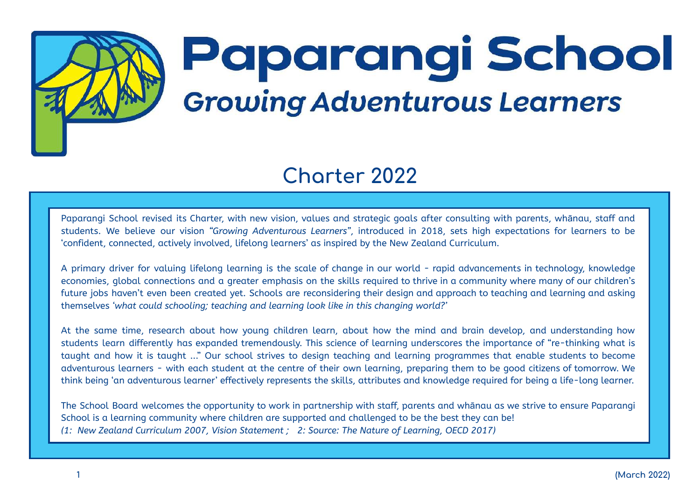# Paparangi School **Growing Adventurous Learners**

## **Charter 2022**

Paparangi School revised its Charter, with new vision, values and strategic goals after consulting with parents, whānau, staff and students. We believe our vision *"Growing Adventurous Learners"*, introduced in 2018, sets high expectations for learners to be 'confident, connected, actively involved, lifelong learners' as inspired by the New Zealand Curriculum.

A primary driver for valuing lifelong learning is the scale of change in our world - rapid advancements in technology, knowledge economies, global connections and a greater emphasis on the skills required to thrive in a community where many of our children's future jobs haven't even been created yet. Schools are reconsidering their design and approach to teaching and learning and asking themselves *'what could schooling; teaching and learning look like in this changing world?'*

At the same time, research about how young children learn, about how the mind and brain develop, and understanding how students learn differently has expanded tremendously. This science of learning underscores the importance of "re-thinking what is taught and how it is taught ..." Our school strives to design teaching and learning programmes that enable students to become adventurous learners - with each student at the centre of their own learning, preparing them to be good citizens of tomorrow. We think being 'an adventurous learner' effectively represents the skills, attributes and knowledge required for being a life-long learner.

The School Board welcomes the opportunity to work in partnership with staff, parents and whānau as we strive to ensure Paparangi School is a learning community where children are supported and challenged to be the best they can be! *(1: New Zealand Curriculum 2007, Vision Statement ; 2: Source: The Nature of Learning, OECD 2017)*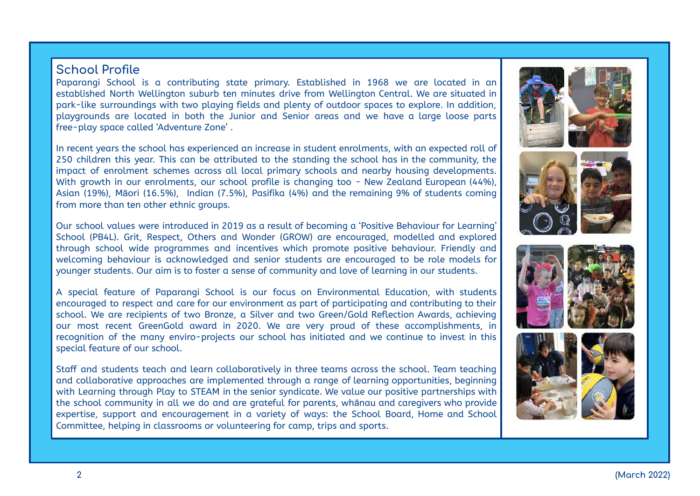#### **School Profile**

Paparangi School is a contributing state primary. Established in 1968 we are located in an established North Wellington suburb ten minutes drive from Wellington Central. We are situated in park-like surroundings with two playing fields and plenty of outdoor spaces to explore. In addition, playgrounds are located in both the Junior and Senior areas and we have a large loose parts free-play space called 'Adventure Zone' .

In recent years the school has experienced an increase in student enrolments, with an expected roll of 250 children this year. This can be attributed to the standing the school has in the community, the impact of enrolment schemes across all local primary schools and nearby housing developments. With growth in our enrolments, our school profile is changing too - New Zealand European (44%), Asian (19%), Māori (16.5%), Indian (7.5%), Pasifika (4%) and the remaining 9% of students coming from more than ten other ethnic groups.

Our school values were introduced in 2019 as a result of becoming a 'Positive Behaviour for Learning' School (PB4L). Grit, Respect, Others and Wonder (GROW) are encouraged, modelled and explored through school wide programmes and incentives which promote positive behaviour. Friendly and welcoming behaviour is acknowledged and senior students are encouraged to be role models for younger students. Our aim is to foster a sense of community and love of learning in our students.

A special feature of Paparangi School is our focus on Environmental Education, with students encouraged to respect and care for our environment as part of participating and contributing to their school. We are recipients of two Bronze, a Silver and two Green/Gold Reflection Awards, achieving our most recent GreenGold award in 2020. We are very proud of these accomplishments, in recognition of the many enviro-projects our school has initiated and we continue to invest in this special feature of our school.

Staff and students teach and learn collaboratively in three teams across the school. Team teaching and collaborative approaches are implemented through a range of learning opportunities, beginning with Learning through Play to STEAM in the senior syndicate. We value our positive partnerships with the school community in all we do and are grateful for parents, whānau and caregivers who provide expertise, support and encouragement in a variety of ways: the School Board, Home and School Committee, helping in classrooms or volunteering for camp, trips and sports.







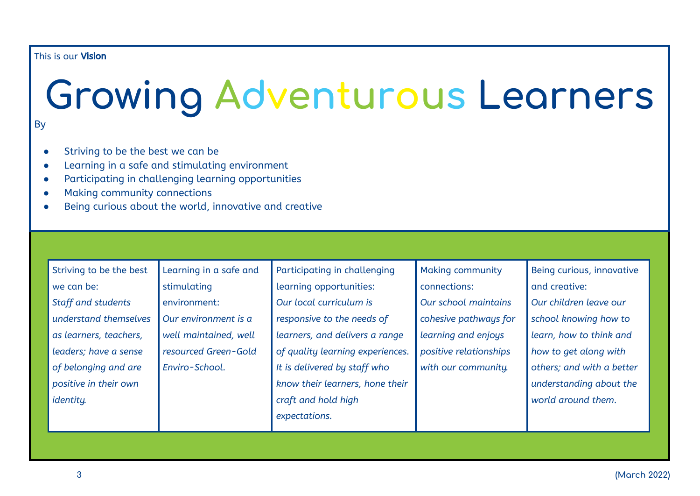#### This is our Vision

## **Growing Adventurous Learners** By

- Striving to be the best we can be
- Learning in a safe and stimulating environment
- Participating in challenging learning opportunities
- Making community connections
- Being curious about the world, innovative and creative

| Striving to be the best   | Learning in a safe and | Participating in challenging     | <b>Making community</b> | Being curious, innovative |
|---------------------------|------------------------|----------------------------------|-------------------------|---------------------------|
| we can be:                | stimulating            | learning opportunities:          | connections:            | and creative:             |
| <b>Staff and students</b> | environment:           | Our local curriculum is          | Our school maintains    | Our children leave our    |
| understand themselves     | Our environment is a   | responsive to the needs of       | cohesive pathways for   | school knowing how to     |
| as learners, teachers,    | well maintained, well  | learners, and delivers a range   | learning and enjoys     | learn, how to think and   |
| leaders; have a sense     | resourced Green-Gold   | of quality learning experiences. | positive relationships  | how to get along with     |
| of belonging and are      | Enviro-School.         | It is delivered by staff who     | with our community.     | others; and with a better |
| positive in their own     |                        | know their learners, hone their  |                         | understanding about the   |
| identity.                 |                        | craft and hold high              |                         | world around them.        |
|                           |                        | expectations.                    |                         |                           |
|                           |                        |                                  |                         |                           |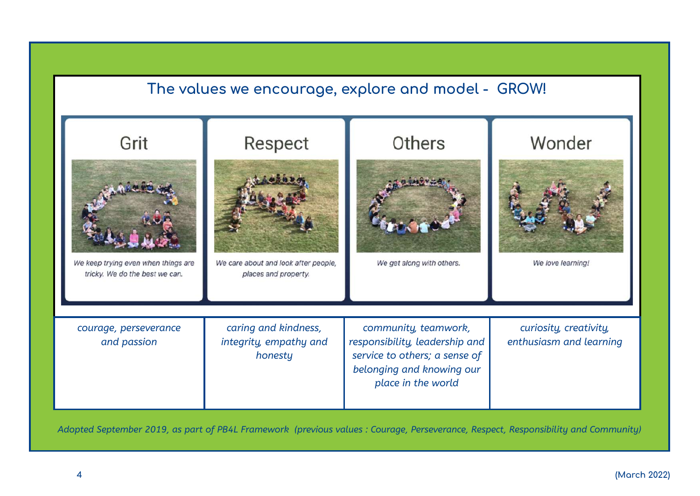

Adopted September 2019, as part of PB4L Framework (previous values: Courage, Perseverance, Respect, Responsibility and Community)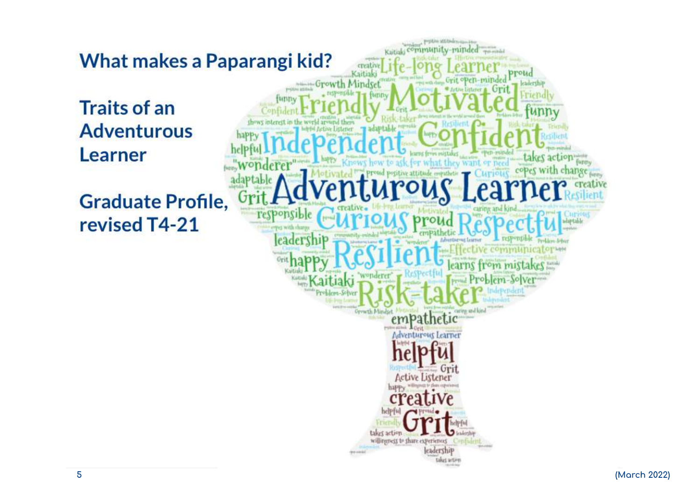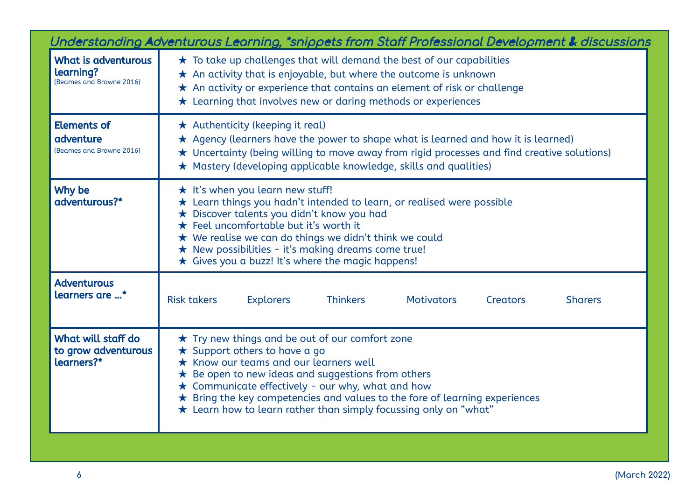| Understanding Adventurous Learning, *snippets from Staff Professional Development & discussions |                                                                                                                                                                                                                                                                                                                                                                                                                              |  |  |  |
|-------------------------------------------------------------------------------------------------|------------------------------------------------------------------------------------------------------------------------------------------------------------------------------------------------------------------------------------------------------------------------------------------------------------------------------------------------------------------------------------------------------------------------------|--|--|--|
| What is adventurous<br>learning?<br>(Beames and Browne 2016)                                    | $\star$ To take up challenges that will demand the best of our capabilities<br>$\star$ An activity that is enjoyable, but where the outcome is unknown<br>$\star$ An activity or experience that contains an element of risk or challenge<br>* Learning that involves new or daring methods or experiences                                                                                                                   |  |  |  |
| <b>Elements of</b><br>adventure<br>(Beames and Browne 2016)                                     | ★ Authenticity (keeping it real)<br>$\star$ Agency (learners have the power to shape what is learned and how it is learned)<br>★ Uncertainty (being willing to move away from rigid processes and find creative solutions)<br>* Mastery (developing applicable knowledge, skills and qualities)                                                                                                                              |  |  |  |
| Why be<br>adventurous?*                                                                         | $\star$ It's when you learn new stuff!<br>$\star$ Learn things you hadn't intended to learn, or realised were possible<br>★ Discover talents you didn't know you had<br>★ Feel uncomfortable but it's worth it<br>★ We realise we can do things we didn't think we could<br>★ New possibilities - it's making dreams come true!<br>$\star$ Gives you a buzz! It's where the magic happens!                                   |  |  |  |
| <b>Adventurous</b><br>learners are *                                                            | <b>Risk takers</b><br><b>Thinkers</b><br><b>Explorers</b><br><b>Motivators</b><br><b>Sharers</b><br><b>Creators</b>                                                                                                                                                                                                                                                                                                          |  |  |  |
| What will staff do<br>to grow adventurous<br>learners?*                                         | $\star$ Try new things and be out of our comfort zone<br>$\star$ Support others to have a go<br>$\star$ Know our teams and our learners well<br>$\star$ Be open to new ideas and suggestions from others<br>$\star$ Communicate effectively - our why, what and how<br>$\star$ Bring the key competencies and values to the fore of learning experiences<br>* Learn how to learn rather than simply focussing only on "what" |  |  |  |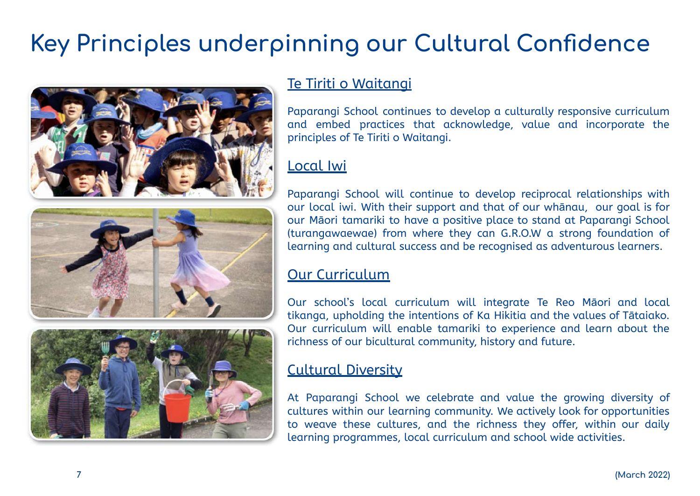## **Key Principles underpinning our Cultural Confidence**





## Te Tiriti o Waitangi

Paparangi School continues to develop a culturally responsive curriculum and embed practices that acknowledge, value and incorporate the principles of Te Tiriti o Waitangi.

## Local Iwi

Paparangi School will continue to develop reciprocal relationships with our local iwi. With their support and that of our whānau, our goal is for our Māori tamariki to have a positive place to stand at Paparangi School (turangawaewae) from where they can G.R.O.W a strong foundation of learning and cultural success and be recognised as adventurous learners.

## Our Curriculum

Our school's local curriculum will integrate Te Reo Māori and local tikanga, upholding the intentions of Ka Hikitia and the values of Tātaiako. Our curriculum will enable tamariki to experience and learn about the richness of our bicultural community, history and future.

## Cultural Diversity

At Paparangi School we celebrate and value the growing diversity of cultures within our learning community. We actively look for opportunities to weave these cultures, and the richness they offer, within our daily learning programmes, local curriculum and school wide activities.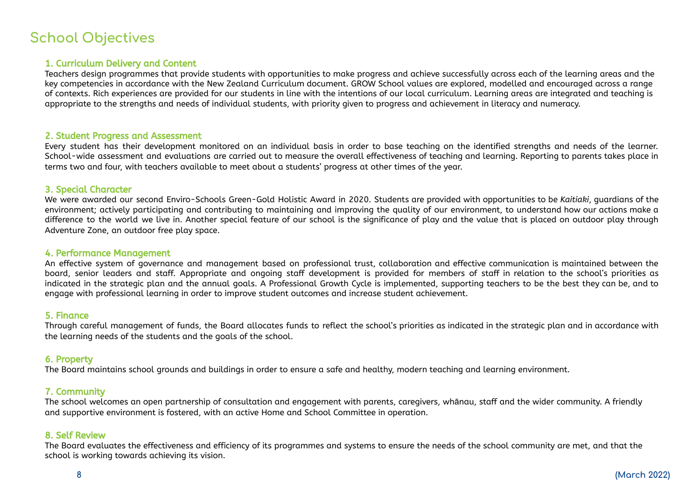## **School Objectives**

#### 1. Curriculum Delivery and Content

Teachers design programmes that provide students with opportunities to make progress and achieve successfully across each of the learning areas and the key competencies in accordance with the New Zealand Curriculum document. GROW School values are explored, modelled and encouraged across a range of contexts. Rich experiences are provided for our students in line with the intentions of our local curriculum. Learning areas are integrated and teaching is appropriate to the strengths and needs of individual students, with priority given to progress and achievement in literacy and numeracy.

#### 2. Student Progress and Assessment

Every student has their development monitored on an individual basis in order to base teaching on the identified strengths and needs of the learner. School-wide assessment and evaluations are carried out to measure the overall effectiveness of teaching and learning. Reporting to parents takes place in terms two and four, with teachers available to meet about a students' progress at other times of the year.

#### 3. Special Character

We were awarded our second Enviro-Schools Green-Gold Holistic Award in 2020. Students are provided with opportunities to be *Kaitiaki*, guardians of the environment; actively participating and contributing to maintaining and improving the quality of our environment, to understand how our actions make a difference to the world we live in. Another special feature of our school is the significance of play and the value that is placed on outdoor play through Adventure Zone, an outdoor free play space.

#### 4. Performance Management

An effective system of governance and management based on professional trust, collaboration and effective communication is maintained between the board, senior leaders and staff. Appropriate and ongoing staff development is provided for members of staff in relation to the school's priorities as indicated in the strategic plan and the annual goals. A Professional Growth Cycle is implemented, supporting teachers to be the best they can be, and to engage with professional learning in order to improve student outcomes and increase student achievement.

#### 5. Finance

Through careful management of funds, the Board allocates funds to reflect the school's priorities as indicated in the strategic plan and in accordance with the learning needs of the students and the goals of the school.

#### 6. Property

The Board maintains school grounds and buildings in order to ensure a safe and healthy, modern teaching and learning environment.

#### 7. Community

The school welcomes an open partnership of consultation and engagement with parents, caregivers, whānau, staff and the wider community. A friendly and supportive environment is fostered, with an active Home and School Committee in operation.

#### 8. Self Review

The Board evaluates the effectiveness and efficiency of its programmes and systems to ensure the needs of the school community are met, and that the school is working towards achieving its vision.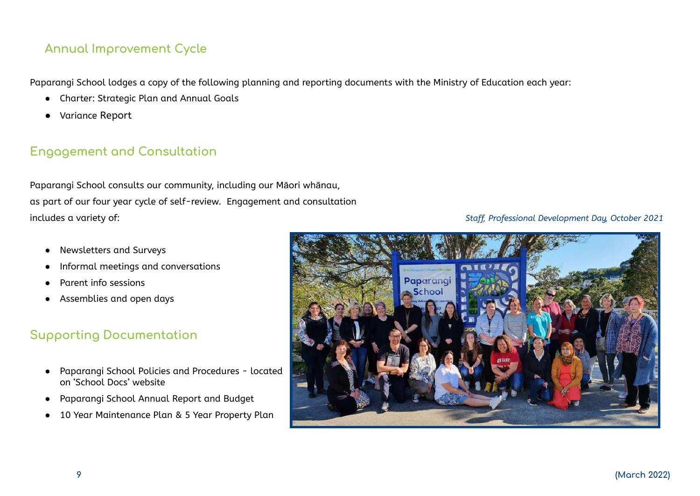### **Annual Improvement Cycle**

Paparangi School lodges a copy of the following planning and reporting documents with the Ministry of Education each year:

- Charter: Strategic Plan and Annual Goals
- Variance Report

### **Engagement and Consultation**

Paparangi School consults our community, including our Māori whānau, as part of our four year cycle of self-review. Engagement and consultation includes a variety of: *Staff, Professional Development Day, October 2021*

- Newsletters and Surveys
- Informal meetings and conversations
- Parent info sessions
- Assemblies and open days

## **Supporting Documentation**

- Paparangi School Policies and Procedures located on 'School Docs' website
- Paparangi School Annual Report and Budget
- 10 Year Maintenance Plan & 5 Year Property Plan

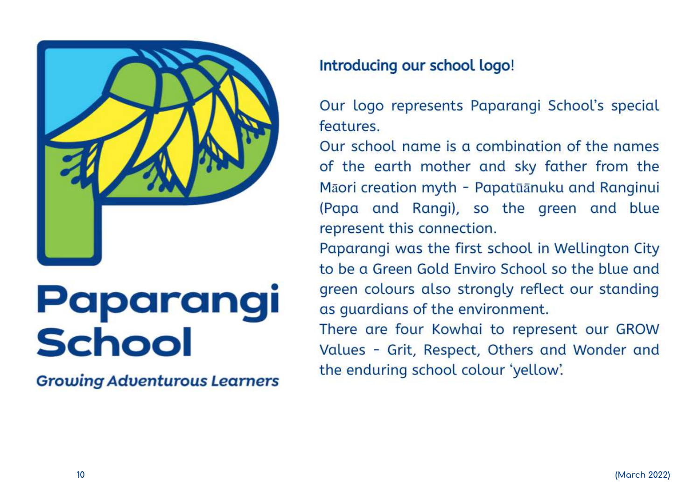

# Paparangi **School**

**Growing Adventurous Learners** 

## Introducing our school logo!

Our logo represents Paparangi School's special features.

Our school name is a combination of the names of the earth mother and sky father from the Māori creation myth - Papatūānuku and Ranginui (Papa and Rangi), so the green and blue represent this connection.

Paparangi was the first school in Wellington City to be a Green Gold Enviro School so the blue and green colours also strongly reflect our standing as guardians of the environment.

There are four Kowhai to represent our GROW Values - Grit, Respect, Others and Wonder and the enduring school colour 'yellow'.